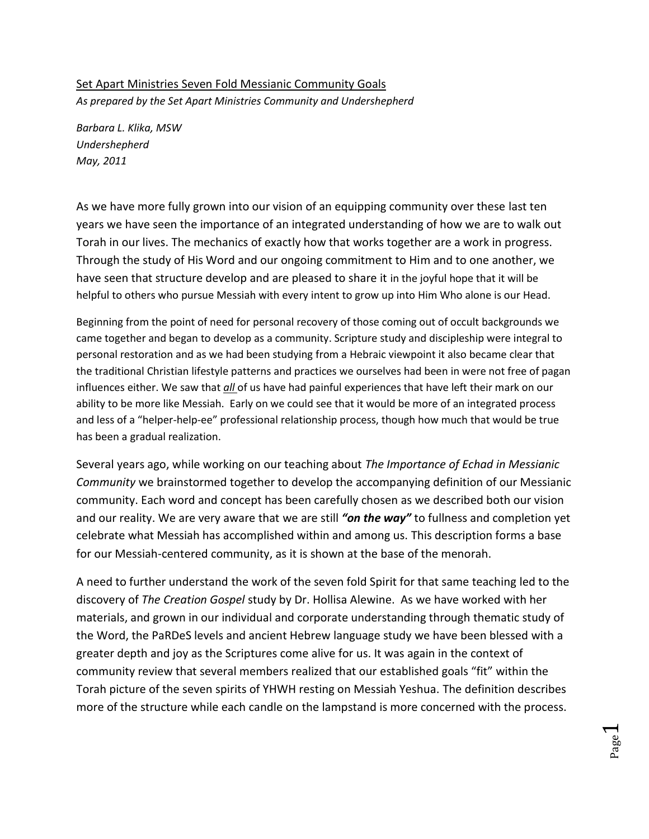## Set Apart Ministries Seven Fold Messianic Community Goals *As prepared by the Set Apart Ministries Community and Undershepherd*

*Barbara L. Klika, MSW Undershepherd May, 2011*

As we have more fully grown into our vision of an equipping community over these last ten years we have seen the importance of an integrated understanding of how we are to walk out Torah in our lives. The mechanics of exactly how that works together are a work in progress. Through the study of His Word and our ongoing commitment to Him and to one another, we have seen that structure develop and are pleased to share it in the joyful hope that it will be helpful to others who pursue Messiah with every intent to grow up into Him Who alone is our Head.

Beginning from the point of need for personal recovery of those coming out of occult backgrounds we came together and began to develop as a community. Scripture study and discipleship were integral to personal restoration and as we had been studying from a Hebraic viewpoint it also became clear that the traditional Christian lifestyle patterns and practices we ourselves had been in were not free of pagan influences either. We saw that *all* of us have had painful experiences that have left their mark on our ability to be more like Messiah. Early on we could see that it would be more of an integrated process and less of a "helper-help-ee" professional relationship process, though how much that would be true has been a gradual realization.

Several years ago, while working on our teaching about *The Importance of Echad in Messianic Community* we brainstormed together to develop the accompanying definition of our Messianic community. Each word and concept has been carefully chosen as we described both our vision and our reality. We are very aware that we are still *"on the way"* to fullness and completion yet celebrate what Messiah has accomplished within and among us. This description forms a base for our Messiah-centered community, as it is shown at the base of the menorah.

A need to further understand the work of the seven fold Spirit for that same teaching led to the discovery of *The Creation Gospel* study by Dr. Hollisa Alewine. As we have worked with her materials, and grown in our individual and corporate understanding through thematic study of the Word, the PaRDeS levels and ancient Hebrew language study we have been blessed with a greater depth and joy as the Scriptures come alive for us. It was again in the context of community review that several members realized that our established goals "fit" within the Torah picture of the seven spirits of YHWH resting on Messiah Yeshua. The definition describes more of the structure while each candle on the lampstand is more concerned with the process.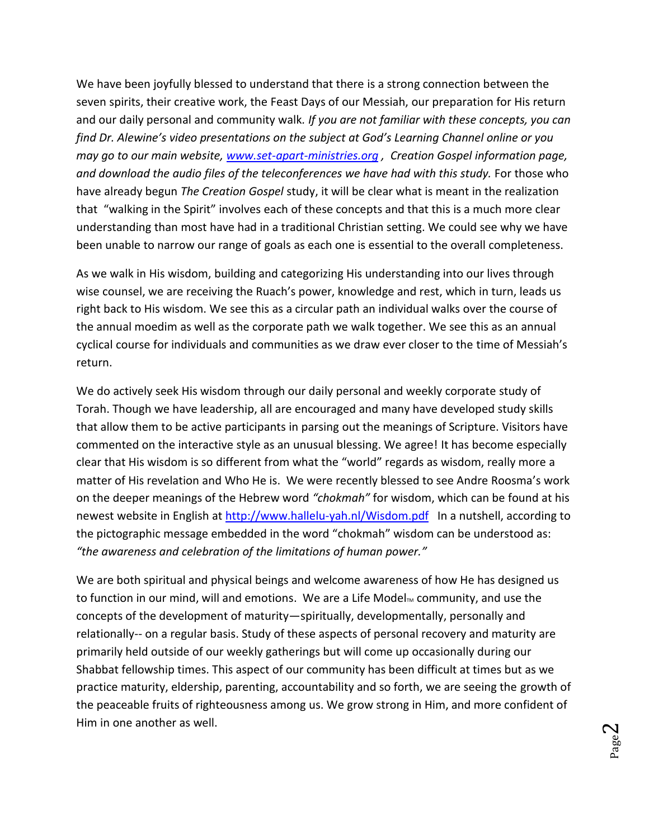We have been joyfully blessed to understand that there is a strong connection between the seven spirits, their creative work, the Feast Days of our Messiah, our preparation for His return and our daily personal and community walk*. If you are not familiar with these concepts, you can find Dr. Alewine's video presentations on the subject at God's Learning Channel online or you may go to our main website, [www.set-apart-ministries.org](http://www.set-apart-ministries.org/) , Creation Gospel information page, and download the audio files of the teleconferences we have had with this study.* For those who have already begun *The Creation Gospel* study, it will be clear what is meant in the realization that "walking in the Spirit" involves each of these concepts and that this is a much more clear understanding than most have had in a traditional Christian setting. We could see why we have been unable to narrow our range of goals as each one is essential to the overall completeness.

As we walk in His wisdom, building and categorizing His understanding into our lives through wise counsel, we are receiving the Ruach's power, knowledge and rest, which in turn, leads us right back to His wisdom. We see this as a circular path an individual walks over the course of the annual moedim as well as the corporate path we walk together. We see this as an annual cyclical course for individuals and communities as we draw ever closer to the time of Messiah's return.

We do actively seek His wisdom through our daily personal and weekly corporate study of Torah. Though we have leadership, all are encouraged and many have developed study skills that allow them to be active participants in parsing out the meanings of Scripture. Visitors have commented on the interactive style as an unusual blessing. We agree! It has become especially clear that His wisdom is so different from what the "world" regards as wisdom, really more a matter of His revelation and Who He is. We were recently blessed to see Andre Roosma's work on the deeper meanings of the Hebrew word *"chokmah"* for wisdom, which can be found at his newest website in English at <http://www.hallelu-yah.nl/Wisdom.pdf> In a nutshell, according to the pictographic message embedded in the word "chokmah" wisdom can be understood as: *"the awareness and celebration of the limitations of human power."*

We are both spiritual and physical beings and welcome awareness of how He has designed us to function in our mind, will and emotions. We are a Life Model $<sub>m</sub>$  community, and use the</sub> concepts of the development of maturity—spiritually, developmentally, personally and relationally-- on a regular basis. Study of these aspects of personal recovery and maturity are primarily held outside of our weekly gatherings but will come up occasionally during our Shabbat fellowship times. This aspect of our community has been difficult at times but as we practice maturity, eldership, parenting, accountability and so forth, we are seeing the growth of the peaceable fruits of righteousness among us. We grow strong in Him, and more confident of Him in one another as well.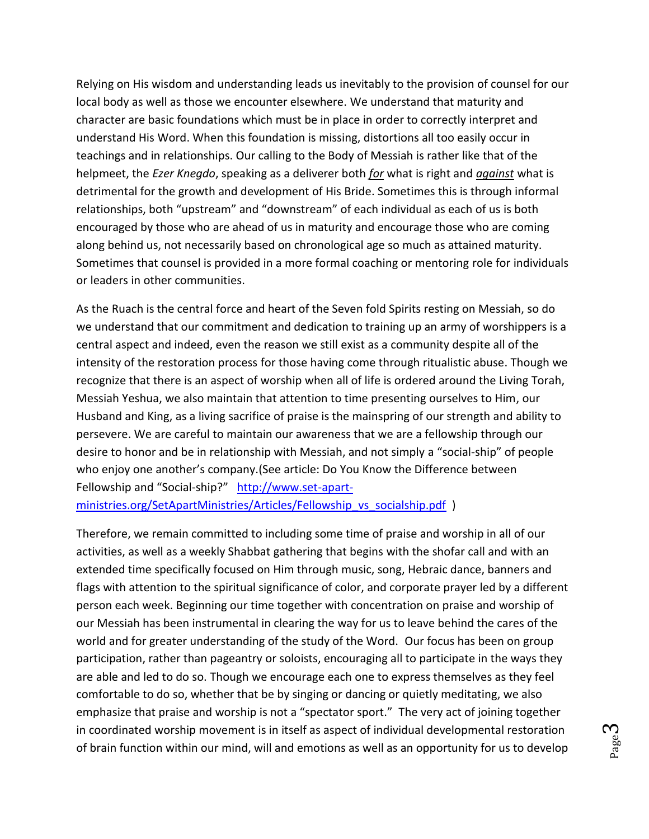Relying on His wisdom and understanding leads us inevitably to the provision of counsel for our local body as well as those we encounter elsewhere. We understand that maturity and character are basic foundations which must be in place in order to correctly interpret and understand His Word. When this foundation is missing, distortions all too easily occur in teachings and in relationships. Our calling to the Body of Messiah is rather like that of the helpmeet, the *Ezer Knegdo*, speaking as a deliverer both *for* what is right and *against* what is detrimental for the growth and development of His Bride. Sometimes this is through informal relationships, both "upstream" and "downstream" of each individual as each of us is both encouraged by those who are ahead of us in maturity and encourage those who are coming along behind us, not necessarily based on chronological age so much as attained maturity. Sometimes that counsel is provided in a more formal coaching or mentoring role for individuals or leaders in other communities.

As the Ruach is the central force and heart of the Seven fold Spirits resting on Messiah, so do we understand that our commitment and dedication to training up an army of worshippers is a central aspect and indeed, even the reason we still exist as a community despite all of the intensity of the restoration process for those having come through ritualistic abuse. Though we recognize that there is an aspect of worship when all of life is ordered around the Living Torah, Messiah Yeshua, we also maintain that attention to time presenting ourselves to Him, our Husband and King, as a living sacrifice of praise is the mainspring of our strength and ability to persevere. We are careful to maintain our awareness that we are a fellowship through our desire to honor and be in relationship with Messiah, and not simply a "social-ship" of people who enjoy one another's company.(See article: Do You Know the Difference between Fellowship and "Social-ship?" [http://www.set-apart-](http://www.set-apart-ministries.org/SetApartMinistries/Articles/Fellowship_vs_socialship.pdf)

[ministries.org/SetApartMinistries/Articles/Fellowship\\_vs\\_socialship.pdf](http://www.set-apart-ministries.org/SetApartMinistries/Articles/Fellowship_vs_socialship.pdf) )

Therefore, we remain committed to including some time of praise and worship in all of our activities, as well as a weekly Shabbat gathering that begins with the shofar call and with an extended time specifically focused on Him through music, song, Hebraic dance, banners and flags with attention to the spiritual significance of color, and corporate prayer led by a different person each week. Beginning our time together with concentration on praise and worship of our Messiah has been instrumental in clearing the way for us to leave behind the cares of the world and for greater understanding of the study of the Word. Our focus has been on group participation, rather than pageantry or soloists, encouraging all to participate in the ways they are able and led to do so. Though we encourage each one to express themselves as they feel comfortable to do so, whether that be by singing or dancing or quietly meditating, we also emphasize that praise and worship is not a "spectator sport." The very act of joining together in coordinated worship movement is in itself as aspect of individual developmental restoration of brain function within our mind, will and emotions as well as an opportunity for us to develop